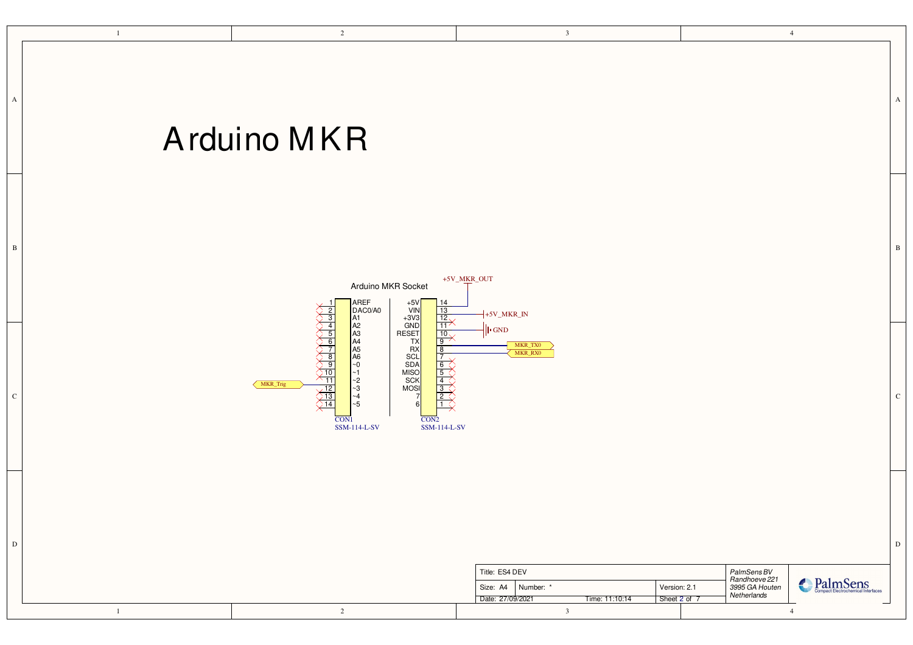<span id="page-0-0"></span>

|              | $\overline{c}$<br>$\mathbf{1}$                                                                                                                                                                                                                                                                                                                                                                                                                                                                                                                                                            | $\overline{\mathbf{3}}$                     |                                |                                                               | $\overline{4}$ |              |
|--------------|-------------------------------------------------------------------------------------------------------------------------------------------------------------------------------------------------------------------------------------------------------------------------------------------------------------------------------------------------------------------------------------------------------------------------------------------------------------------------------------------------------------------------------------------------------------------------------------------|---------------------------------------------|--------------------------------|---------------------------------------------------------------|----------------|--------------|
| A            | Arduino MKR                                                                                                                                                                                                                                                                                                                                                                                                                                                                                                                                                                               |                                             |                                |                                                               |                | $\mathbf{A}$ |
| $\mathbf{B}$ | +5V_MKR_OUT<br>Arduino MKR Socket<br>AREF<br>DAC0/A0<br>$+5V$<br>VIN<br>14                                                                                                                                                                                                                                                                                                                                                                                                                                                                                                                | $+5V_MKR_N$                                 |                                |                                                               |                | $\, {\bf B}$ |
| $\mathbf{C}$ | $\begin{array}{c}\n\hline\n13 \\ \hline\n12 \\ \hline\n11 \\ \hline\n\end{array}$<br>$\begin{array}{c}\n+3\sqrt{3} \\ +3\sqrt{3} \\ \hline\n\text{GND} \\ \text{RESET} \\ \hline\n\text{TX} \\ \hline\n\end{array}$<br>A1<br>A2<br>A3<br>A4<br>A5<br>A6<br>A6<br>$\sim 0$<br>RX<br>SCL<br>SDA<br>MISO<br>SCK<br>MOS<br>$\begin{array}{c}\n\downarrow \\ \downarrow \\ \downarrow \\ \downarrow\n\end{array}$<br>$\begin{bmatrix} -1 \\ -2 \\ -3 \\ -4 \end{bmatrix}$<br>MKR_Trig<br>2<<br>$\sim$ 5<br>$\overline{CON1}$<br>CON <sub>2</sub><br><b>SSM-114-L-SV</b><br><b>SSM-114-L-SV</b> | $\ \cdot$ GND<br>MKR_TX0<br>MKR_RX0         |                                |                                                               |                | ${\bf C}$    |
| $\mathbf D$  |                                                                                                                                                                                                                                                                                                                                                                                                                                                                                                                                                                                           | Title: ES4 DEV<br>Size: A4<br>Number: *     | Version: 2.1                   | PalmSens BV<br>Randhoeve 221<br>3995 GA Houten<br>Netherlands | PalmSens       | $\mathbf D$  |
|              | $\overline{c}$<br>$\mathbf{1}$                                                                                                                                                                                                                                                                                                                                                                                                                                                                                                                                                            | Date: 27/09/2021<br>$\overline{\mathbf{3}}$ | Sheet 2 of 7<br>Time: 11:10:14 |                                                               | $\overline{4}$ |              |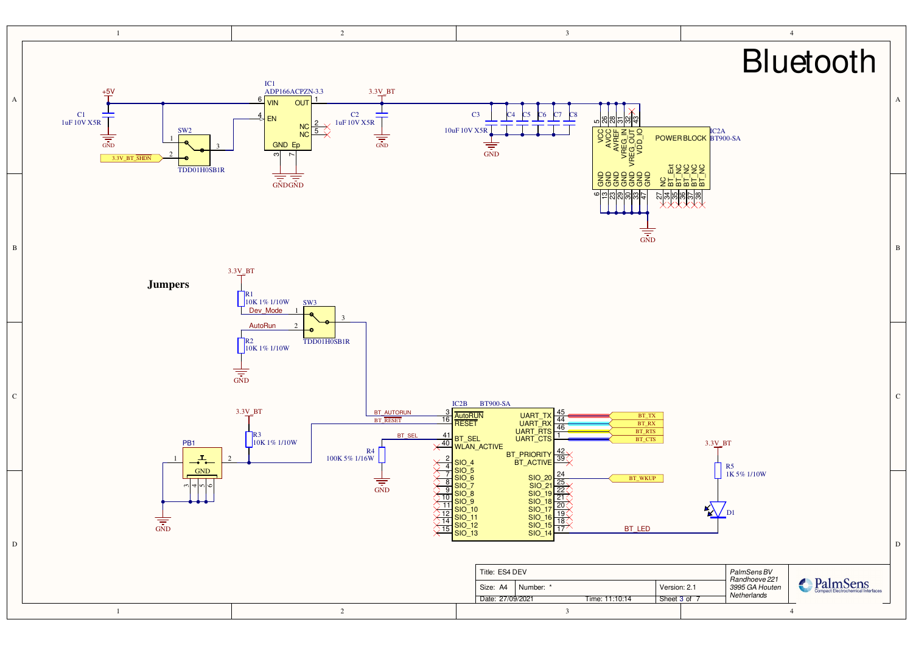<span id="page-1-0"></span>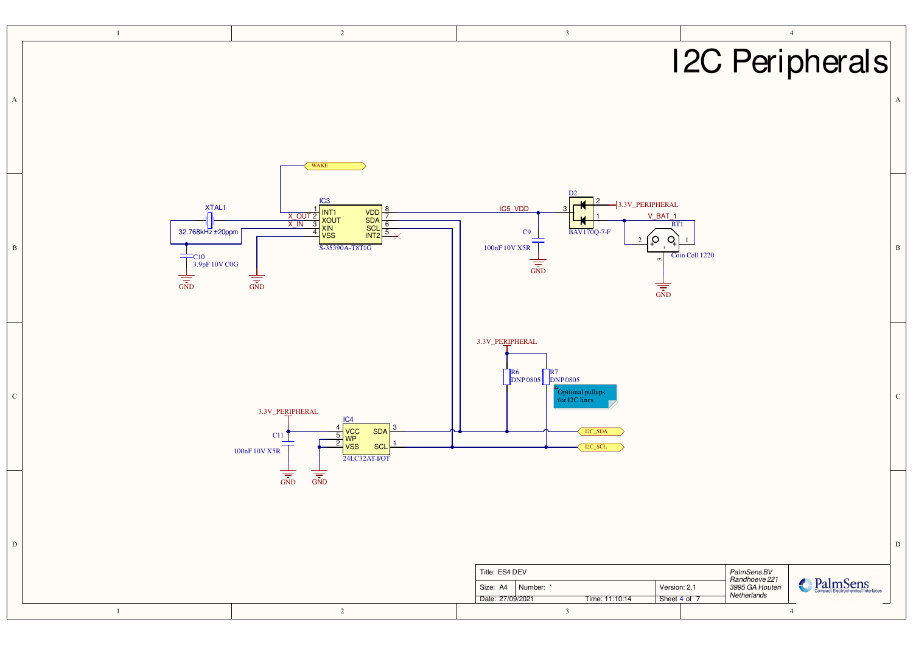<span id="page-2-0"></span>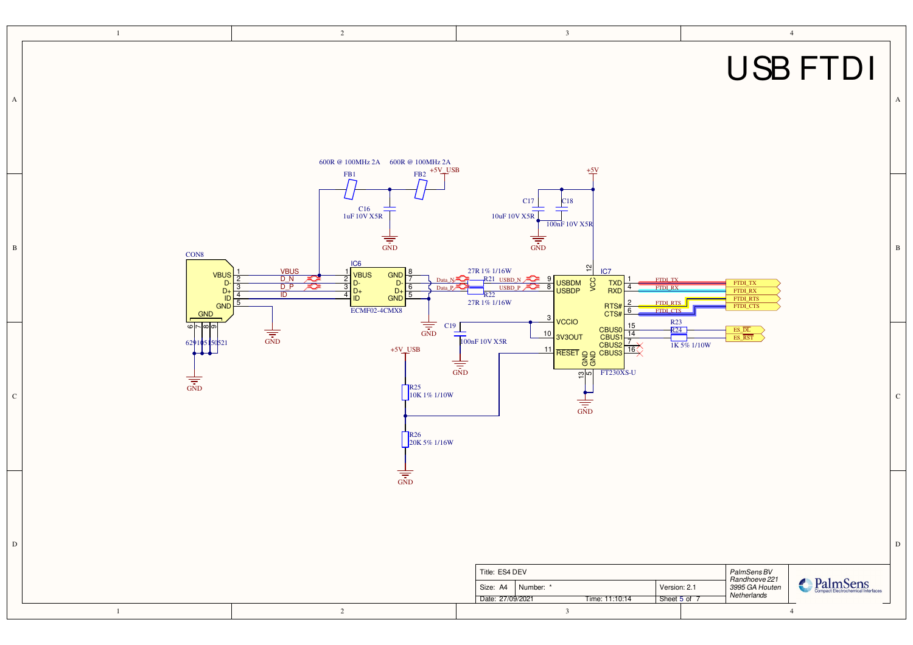<span id="page-3-0"></span>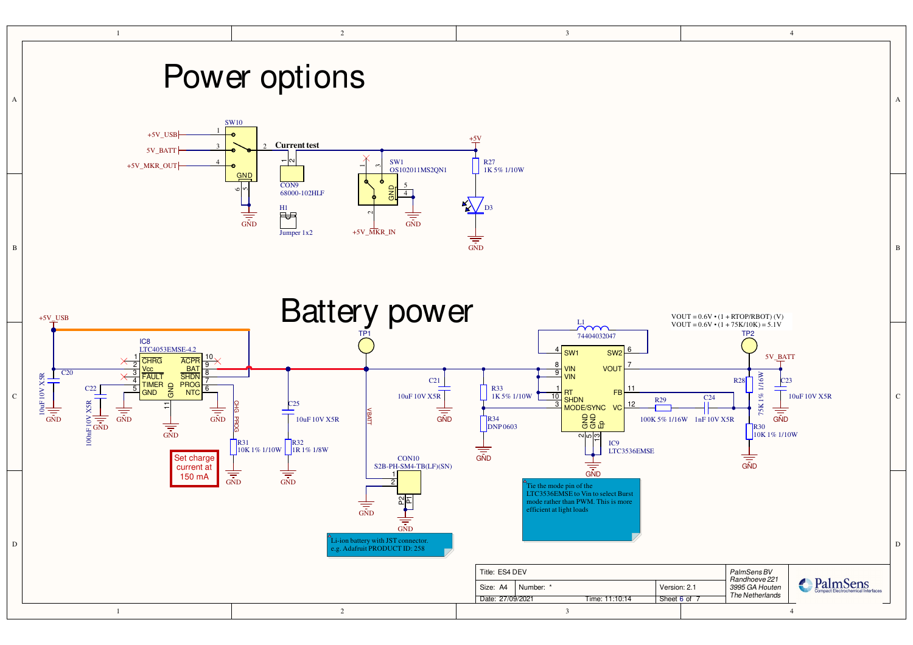<span id="page-4-0"></span>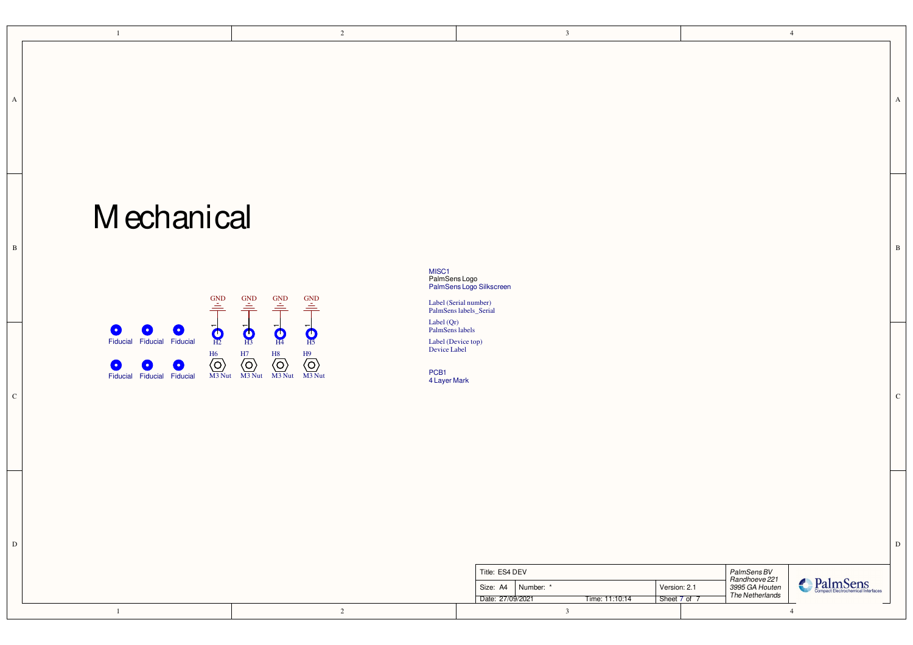<span id="page-5-0"></span>

A |

## Mechanical



PalmSens Logo PalmSens Logo Silkscreen MISC<sub>1</sub>

B B

Label  $(Qr)$ PalmSens labels

Label (Device top) Device Label

 $\overline{c}$  |  $\overline{c}$  |  $\overline{c}$  |  $\overline{c}$  |  $\overline{c}$  |  $\overline{c}$  |  $\overline{c}$  |  $\overline{c}$  |  $\overline{c}$  |  $\overline{c}$  |  $\overline{c}$  |  $\overline{c}$  |  $\overline{c}$  |  $\overline{c}$  |  $\overline{c}$  |  $\overline{c}$  |  $\overline{c}$  |  $\overline{c}$  |  $\overline{c}$  |  $\overline{c}$  |

4 Layer Mark PCB1

| Title: ES4 DEV |  |                                                             |                              | PalmSens BV<br>Randhoeve 221      |                                                                       |
|----------------|--|-------------------------------------------------------------|------------------------------|-----------------------------------|-----------------------------------------------------------------------|
|                |  | Size: A4<br>Number: *<br>Date: 27/09/2021<br>Time: 11:10:14 | Version: 2.1<br>Sheet 7 of 7 | 3995 GA Houten<br>The Netherlands | $D_{\alpha}$<br>PalmSens<br><b>Compact Electrochemical Interfaces</b> |
|                |  |                                                             |                              |                                   |                                                                       |

D D